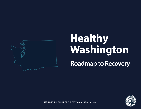

## **Healthy Washington**

**Roadmap to Recovery**



**ISSUED BY THE OFFICE OF THE GOVERNOR | May 18, 2021**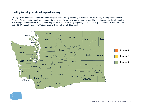## **Healthy Washington - Roadmap to Recovery**

On May 4, Governor Inslee announced a two-week pause in the county-by-county evaluation under the Healthy Washington: Roadmap to Recovery. On May 13, Governor Inslee announced that the state is moving toward a statewide June 30 reopening date and that all counties in Washington will move to Phase 3 of the Healthy WA: Roadmap to Recovery reopening plan effective May 18 until June 30. However, if the statewide ICU capacity reaches 90% at any point, activities will be rolled back again

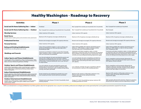## Healthy Washington - Roadmap to Recovery

| <b>Activities</b>                                                                                                                                                                                                                                                                                 | <b>Phase 1</b>                                                                                                                                                                                                                                                                       | Phase 2                                                                                                                                                                                                                                             | Phase 3                                                                                                                                                                                                                                                       |
|---------------------------------------------------------------------------------------------------------------------------------------------------------------------------------------------------------------------------------------------------------------------------------------------------|--------------------------------------------------------------------------------------------------------------------------------------------------------------------------------------------------------------------------------------------------------------------------------------|-----------------------------------------------------------------------------------------------------------------------------------------------------------------------------------------------------------------------------------------------------|---------------------------------------------------------------------------------------------------------------------------------------------------------------------------------------------------------------------------------------------------------------|
| Social and At-Home Gathering Size — Indoor                                                                                                                                                                                                                                                        | Prohibited                                                                                                                                                                                                                                                                           | Max 5 people from outside your household, limit 2 households                                                                                                                                                                                        | Max 10 people from outside your household                                                                                                                                                                                                                     |
| Social and At-Home Gathering Size — Outdoor                                                                                                                                                                                                                                                       | Max 10 people from outside your household, limit 2 households                                                                                                                                                                                                                        | Max 15 people from outside your household, limit 2 households                                                                                                                                                                                       | Max 50 people                                                                                                                                                                                                                                                 |
| <b>Worship Services</b>                                                                                                                                                                                                                                                                           | Indoor maximum 25% capacity                                                                                                                                                                                                                                                          | Indoor maximum 25% capacity                                                                                                                                                                                                                         | Indoor maximum 50% capacity                                                                                                                                                                                                                                   |
| <b>Retail Stores</b><br>(includes farmers' markets, grocery and convenience stores, pharmacies)                                                                                                                                                                                                   | Maximum 25% of capacity, encourage curbside pick-up                                                                                                                                                                                                                                  | Maximum 25% of capacity, encourage curbside pick-up                                                                                                                                                                                                 | Maximum 50% of capacity, encourage curbside pick-up                                                                                                                                                                                                           |
| <b>Professional Services</b>                                                                                                                                                                                                                                                                      | Remote work strongly encouraged, 25% capacity otherwise.                                                                                                                                                                                                                             | Remote work strongly encouraged, 25% capacity otherwise.                                                                                                                                                                                            | Remote work strongly encouraged, 50% capacity otherwise.                                                                                                                                                                                                      |
| <b>Personal Services</b>                                                                                                                                                                                                                                                                          | Indoor maximum 25% capacity.                                                                                                                                                                                                                                                         | Indoor maximum 25% capacity.                                                                                                                                                                                                                        | Indoor maximum 50% capacity.                                                                                                                                                                                                                                  |
| <b>Eating and Drinking Establishments</b><br>(establishments not offering food remain closed)                                                                                                                                                                                                     | Indoor dining prohibited. Outdoor or open-air dining, end<br>alcohol service/delivery at 11PM, max 6 per table, limit 2<br>households per table                                                                                                                                      | Indoor dining available 25% capacity, end alcohol service/<br>delivery at 11PM. Outdoor or open-air dining available,<br>max 6 per table, limit 2 households per table                                                                              | Indoor dining available 50% capacity, end alcohol service/<br>delivery at 12AM. Outdoor or open-air dining available.<br>max 10 people per table                                                                                                              |
| <b>Weddings and Funerals</b>                                                                                                                                                                                                                                                                      | Ceremonies are limited to a total of no more than 30 people.<br>Indoor receptions, wakes, or similar gatherings in conjunction<br>with such ceremonies are prohibited.                                                                                                               | Ceremonies and indoor receptions, wakes, or similar<br>gatherings in conjunction with such ceremonies are permitted<br>and must follow the appropriate venue requirements. If food<br>or drinks are served, eating and drinking requirements apply. | Ceremonies and indoor receptions, wakes, or similar gatherings<br>in conjunction with such ceremonies are permitted and must<br>follow the appropriate venue requirements. If food or drinks are<br>served, the eating and drinking requirements above apply. |
| <b>Indoor Sports and Fitness Establishments</b><br>(includes gyms, fitness organizations, indoor recreational sports, indoor<br>pools, indoor K-12 sports, indoor sports, indoor personal training, indoor<br>dance, no-contact martial arts, gymnastics, climbing)                               | Low risk and moderate risk sports permitted for practice and<br>training only in stable groups of no more than 5 athletes.<br>Appointment based fitness/training; less than 1 hour sessions,<br>no more than 1 customer/athlete per room or per 500/sq. ft.<br>for large facilities. | Low and moderate risk sports competitions permitted (no<br>tournaments). High risk sports permitted for practice and<br>training. Fitness and training and indoor sports maximum<br>25% capacity.                                                   | Sports competitions and tournaments allowed all risk<br>categories. Fitness and training and indoor sports maximum<br>50% capacity. Showers allowed.                                                                                                          |
| <b>Outdoor Sports and Fitness Establishments</b><br>(outdoor fitness organizations, outdoor recreational sports, outdoor<br>pools, outdoor parks and hiking trails, outdoor campsites, outdoor K-12<br>sports, outdoor sports, outdoor personal training, outdoor dance,<br>outdoor motorsports)  | Low and moderate risk sports permitted for practice and<br>training only (no tournaments). Outdoor quided activities.<br>hunting, fishing, motorsports, parks, camping, hiking, biking,<br>running, snow sports, permitted.                                                          | Low, moderate, and high-risk sports competitions allowed<br>(no tournaments), maximum 200 including spectators.                                                                                                                                     | Sports competitions and tournaments allowed all risk<br>categories. Maximum spectators allowed 400 with capacity<br>restriction depending on facility. Guided activities allowed<br>without hard caps subject to restrictions.                                |
| <b>Indoor Entertainment Establishments</b><br>(includes aquariums, indoor theaters, indoor arenas, indoor concert halls, indoor gardens, indoor museums, indoor bowling, indoor trampoline f<br>acilities, indoor cardrooms, indoor entertainment activities of any kind,<br>indoor event spaces) | Private rentals/tours for individual households of no more<br>than 6 people permitted. General admission prohibited.                                                                                                                                                                 | Maximum 25% capacity or 200 people, whichever is less.<br>If food or drinks are served, eating and drinking<br>requirements apply.                                                                                                                  | Maximum 50% capacity or 400 people, whichever is less.<br>If food or drinks are served, eating and drinking<br>requirements apply.                                                                                                                            |
| <b>Outdoor Entertainment Establishments</b><br>(includes zoos, outdoor gardens, outdoor aquariums, outdoor theaters,<br>outdoor stadiums, outdoor event spaces, outdoor arenas, outdoor<br>concert venues, rodeos)                                                                                | Ticketed events only: Groups of 10, limit 2 households, timed<br>ticketing required.                                                                                                                                                                                                 | Groups of 15, limit 2 households per group, maximum 200<br>including spectators for events.                                                                                                                                                         | Walk-up tickets allowed with restrictions. Maximum spectators<br>allowed 400 with capacity restriction depending on facility.                                                                                                                                 |

NOTE: Live entertainment is no longer prohibited but must follow guidance above for the appropriate venue. Long-term Care facilities, professional and collegiate sports remain governed by their current guidance/proclamatio